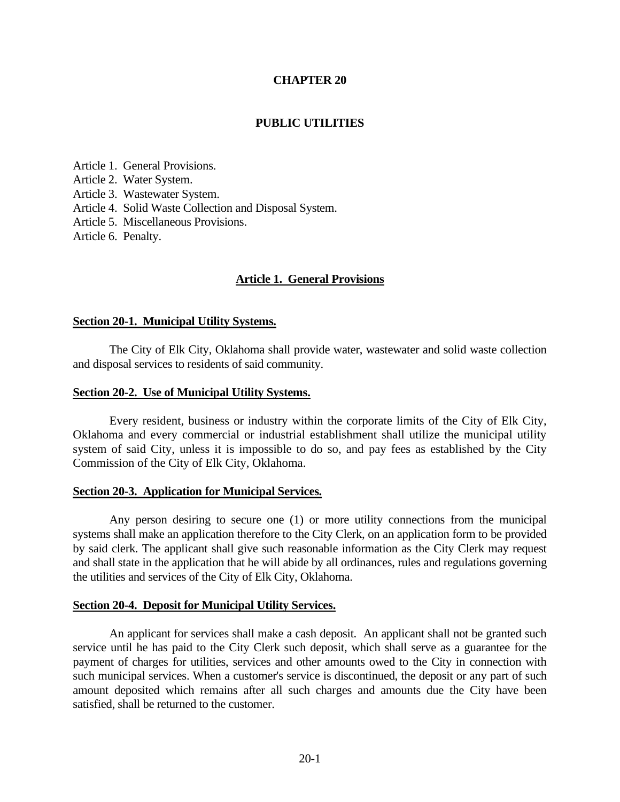#### **CHAPTER 20**

#### **PUBLIC UTILITIES**

Article 1. General Provisions. Article 2. Water System. Article 3. Wastewater System. Article 4. Solid Waste Collection and Disposal System. Article 5. Miscellaneous Provisions. Article 6. Penalty.

#### **Article 1. General Provisions**

#### **Section 20-1. Municipal Utility Systems.**

The City of Elk City, Oklahoma shall provide water, wastewater and solid waste collection and disposal services to residents of said community.

#### **Section 20-2. Use of Municipal Utility Systems.**

Every resident, business or industry within the corporate limits of the City of Elk City, Oklahoma and every commercial or industrial establishment shall utilize the municipal utility system of said City, unless it is impossible to do so, and pay fees as established by the City Commission of the City of Elk City, Oklahoma.

#### **Section 20-3. Application for Municipal Services.**

Any person desiring to secure one (1) or more utility connections from the municipal systems shall make an application therefore to the City Clerk, on an application form to be provided by said clerk. The applicant shall give such reasonable information as the City Clerk may request and shall state in the application that he will abide by all ordinances, rules and regulations governing the utilities and services of the City of Elk City, Oklahoma.

#### **Section 20-4. Deposit for Municipal Utility Services.**

An applicant for services shall make a cash deposit. An applicant shall not be granted such service until he has paid to the City Clerk such deposit, which shall serve as a guarantee for the payment of charges for utilities, services and other amounts owed to the City in connection with such municipal services. When a customer's service is discontinued, the deposit or any part of such amount deposited which remains after all such charges and amounts due the City have been satisfied, shall be returned to the customer.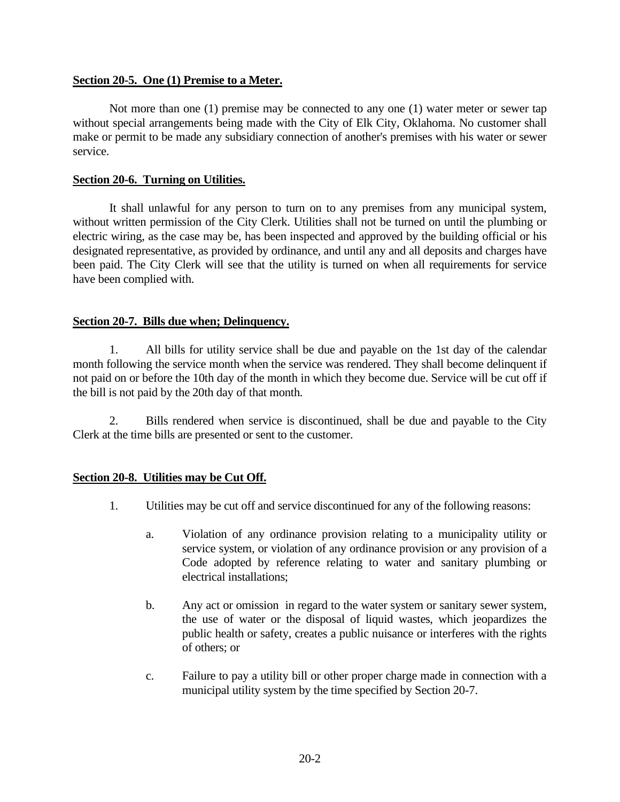### **Section 20-5. One (1) Premise to a Meter.**

Not more than one (1) premise may be connected to any one (1) water meter or sewer tap without special arrangements being made with the City of Elk City, Oklahoma. No customer shall make or permit to be made any subsidiary connection of another's premises with his water or sewer service.

### **Section 20-6. Turning on Utilities.**

It shall unlawful for any person to turn on to any premises from any municipal system, without written permission of the City Clerk. Utilities shall not be turned on until the plumbing or electric wiring, as the case may be, has been inspected and approved by the building official or his designated representative, as provided by ordinance, and until any and all deposits and charges have been paid. The City Clerk will see that the utility is turned on when all requirements for service have been complied with.

### **Section 20-7. Bills due when; Delinquency.**

1. All bills for utility service shall be due and payable on the 1st day of the calendar month following the service month when the service was rendered. They shall become delinquent if not paid on or before the 10th day of the month in which they become due. Service will be cut off if the bill is not paid by the 20th day of that month.

2. Bills rendered when service is discontinued, shall be due and payable to the City Clerk at the time bills are presented or sent to the customer.

# **Section 20-8. Utilities may be Cut Off.**

- 1. Utilities may be cut off and service discontinued for any of the following reasons:
	- a. Violation of any ordinance provision relating to a municipality utility or service system, or violation of any ordinance provision or any provision of a Code adopted by reference relating to water and sanitary plumbing or electrical installations;
	- b. Any act or omission in regard to the water system or sanitary sewer system, the use of water or the disposal of liquid wastes, which jeopardizes the public health or safety, creates a public nuisance or interferes with the rights of others; or
	- c. Failure to pay a utility bill or other proper charge made in connection with a municipal utility system by the time specified by Section 20-7.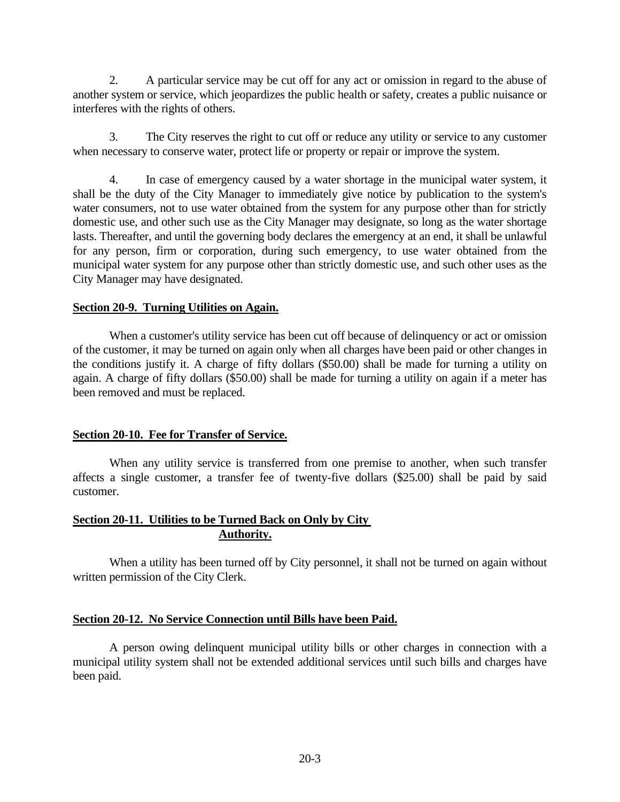2. A particular service may be cut off for any act or omission in regard to the abuse of another system or service, which jeopardizes the public health or safety, creates a public nuisance or interferes with the rights of others.

3. The City reserves the right to cut off or reduce any utility or service to any customer when necessary to conserve water, protect life or property or repair or improve the system.

4. In case of emergency caused by a water shortage in the municipal water system, it shall be the duty of the City Manager to immediately give notice by publication to the system's water consumers, not to use water obtained from the system for any purpose other than for strictly domestic use, and other such use as the City Manager may designate, so long as the water shortage lasts. Thereafter, and until the governing body declares the emergency at an end, it shall be unlawful for any person, firm or corporation, during such emergency, to use water obtained from the municipal water system for any purpose other than strictly domestic use, and such other uses as the City Manager may have designated.

### **Section 20-9. Turning Utilities on Again.**

When a customer's utility service has been cut off because of delinquency or act or omission of the customer, it may be turned on again only when all charges have been paid or other changes in the conditions justify it. A charge of fifty dollars (\$50.00) shall be made for turning a utility on again. A charge of fifty dollars (\$50.00) shall be made for turning a utility on again if a meter has been removed and must be replaced.

# **Section 20-10. Fee for Transfer of Service.**

When any utility service is transferred from one premise to another, when such transfer affects a single customer, a transfer fee of twenty-five dollars (\$25.00) shall be paid by said customer.

# **Section 20-11. Utilities to be Turned Back on Only by City Authority.**

When a utility has been turned off by City personnel, it shall not be turned on again without written permission of the City Clerk.

# **Section 20-12. No Service Connection until Bills have been Paid.**

A person owing delinquent municipal utility bills or other charges in connection with a municipal utility system shall not be extended additional services until such bills and charges have been paid.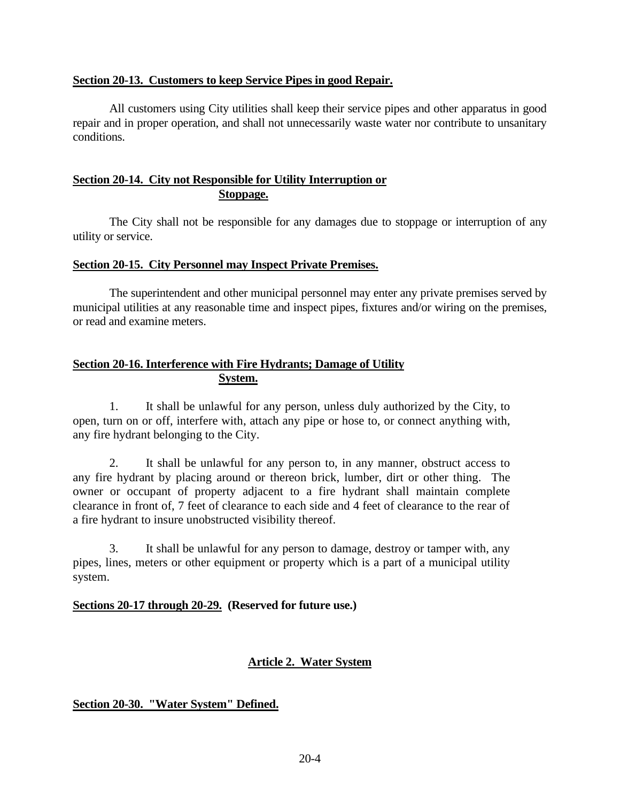### **Section 20-13. Customers to keep Service Pipes in good Repair.**

All customers using City utilities shall keep their service pipes and other apparatus in good repair and in proper operation, and shall not unnecessarily waste water nor contribute to unsanitary conditions.

### **Section 20-14. City not Responsible for Utility Interruption or Stoppage.**

The City shall not be responsible for any damages due to stoppage or interruption of any utility or service.

### **Section 20-15. City Personnel may Inspect Private Premises.**

The superintendent and other municipal personnel may enter any private premises served by municipal utilities at any reasonable time and inspect pipes, fixtures and/or wiring on the premises, or read and examine meters.

### **Section 20-16. Interference with Fire Hydrants; Damage of Utility System.**

1. It shall be unlawful for any person, unless duly authorized by the City, to open, turn on or off, interfere with, attach any pipe or hose to, or connect anything with, any fire hydrant belonging to the City.

2. It shall be unlawful for any person to, in any manner, obstruct access to any fire hydrant by placing around or thereon brick, lumber, dirt or other thing. The owner or occupant of property adjacent to a fire hydrant shall maintain complete clearance in front of, 7 feet of clearance to each side and 4 feet of clearance to the rear of a fire hydrant to insure unobstructed visibility thereof.

3. It shall be unlawful for any person to damage, destroy or tamper with, any pipes, lines, meters or other equipment or property which is a part of a municipal utility system.

# **Sections 20-17 through 20-29. (Reserved for future use.)**

# **Article 2. Water System**

# **Section 20-30. "Water System" Defined.**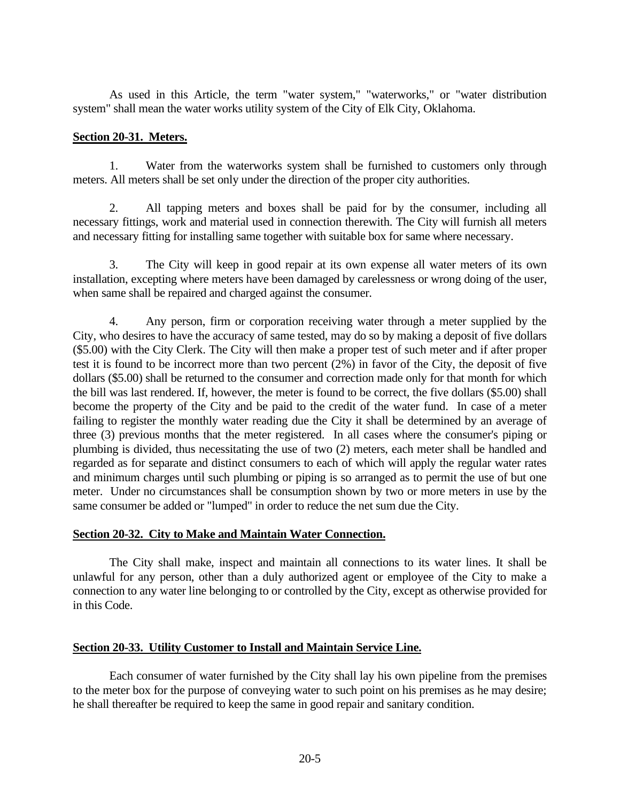As used in this Article, the term "water system," "waterworks," or "water distribution system" shall mean the water works utility system of the City of Elk City, Oklahoma.

### **Section 20-31. Meters.**

1. Water from the waterworks system shall be furnished to customers only through meters. All meters shall be set only under the direction of the proper city authorities.

2. All tapping meters and boxes shall be paid for by the consumer, including all necessary fittings, work and material used in connection therewith. The City will furnish all meters and necessary fitting for installing same together with suitable box for same where necessary.

3. The City will keep in good repair at its own expense all water meters of its own installation, excepting where meters have been damaged by carelessness or wrong doing of the user, when same shall be repaired and charged against the consumer.

4. Any person, firm or corporation receiving water through a meter supplied by the City, who desires to have the accuracy of same tested, may do so by making a deposit of five dollars (\$5.00) with the City Clerk. The City will then make a proper test of such meter and if after proper test it is found to be incorrect more than two percent (2%) in favor of the City, the deposit of five dollars (\$5.00) shall be returned to the consumer and correction made only for that month for which the bill was last rendered. If, however, the meter is found to be correct, the five dollars (\$5.00) shall become the property of the City and be paid to the credit of the water fund. In case of a meter failing to register the monthly water reading due the City it shall be determined by an average of three (3) previous months that the meter registered. In all cases where the consumer's piping or plumbing is divided, thus necessitating the use of two (2) meters, each meter shall be handled and regarded as for separate and distinct consumers to each of which will apply the regular water rates and minimum charges until such plumbing or piping is so arranged as to permit the use of but one meter. Under no circumstances shall be consumption shown by two or more meters in use by the same consumer be added or "lumped" in order to reduce the net sum due the City.

# **Section 20-32. City to Make and Maintain Water Connection.**

The City shall make, inspect and maintain all connections to its water lines. It shall be unlawful for any person, other than a duly authorized agent or employee of the City to make a connection to any water line belonging to or controlled by the City, except as otherwise provided for in this Code.

# **Section 20-33. Utility Customer to Install and Maintain Service Line.**

Each consumer of water furnished by the City shall lay his own pipeline from the premises to the meter box for the purpose of conveying water to such point on his premises as he may desire; he shall thereafter be required to keep the same in good repair and sanitary condition.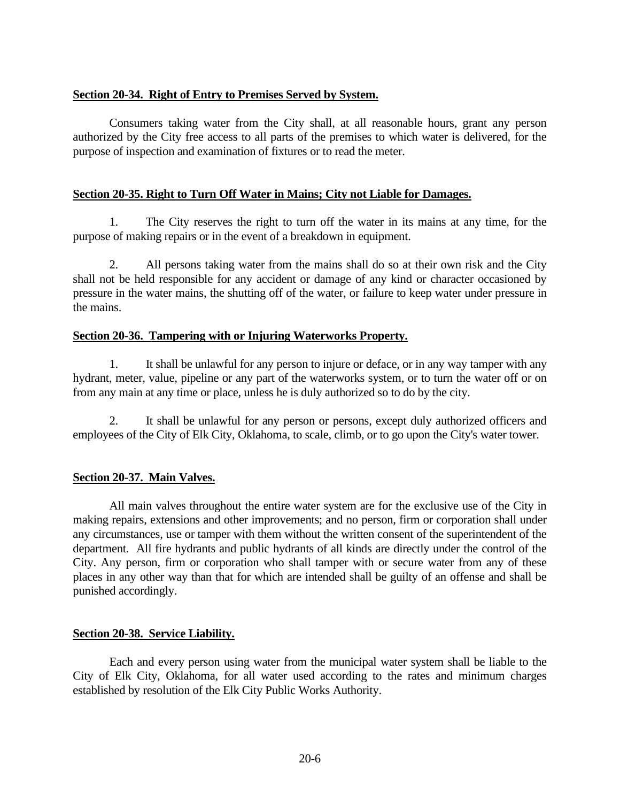### **Section 20-34. Right of Entry to Premises Served by System.**

Consumers taking water from the City shall, at all reasonable hours, grant any person authorized by the City free access to all parts of the premises to which water is delivered, for the purpose of inspection and examination of fixtures or to read the meter.

### **Section 20-35. Right to Turn Off Water in Mains; City not Liable for Damages.**

1. The City reserves the right to turn off the water in its mains at any time, for the purpose of making repairs or in the event of a breakdown in equipment.

2. All persons taking water from the mains shall do so at their own risk and the City shall not be held responsible for any accident or damage of any kind or character occasioned by pressure in the water mains, the shutting off of the water, or failure to keep water under pressure in the mains.

### **Section 20-36. Tampering with or Injuring Waterworks Property.**

1. It shall be unlawful for any person to injure or deface, or in any way tamper with any hydrant, meter, value, pipeline or any part of the waterworks system, or to turn the water off or on from any main at any time or place, unless he is duly authorized so to do by the city.

2. It shall be unlawful for any person or persons, except duly authorized officers and employees of the City of Elk City, Oklahoma, to scale, climb, or to go upon the City's water tower.

# **Section 20-37. Main Valves.**

All main valves throughout the entire water system are for the exclusive use of the City in making repairs, extensions and other improvements; and no person, firm or corporation shall under any circumstances, use or tamper with them without the written consent of the superintendent of the department. All fire hydrants and public hydrants of all kinds are directly under the control of the City. Any person, firm or corporation who shall tamper with or secure water from any of these places in any other way than that for which are intended shall be guilty of an offense and shall be punished accordingly.

### **Section 20-38. Service Liability.**

Each and every person using water from the municipal water system shall be liable to the City of Elk City, Oklahoma, for all water used according to the rates and minimum charges established by resolution of the Elk City Public Works Authority.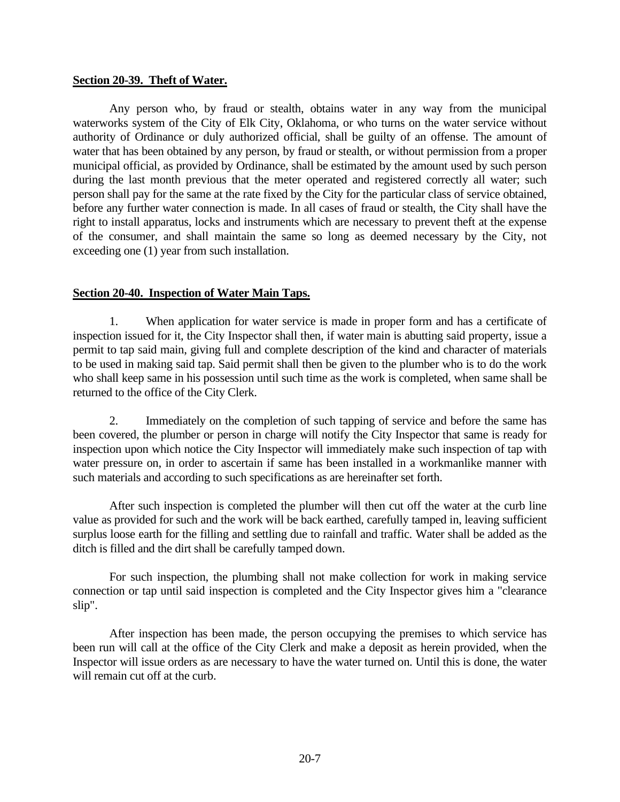#### **Section 20-39. Theft of Water.**

Any person who, by fraud or stealth, obtains water in any way from the municipal waterworks system of the City of Elk City, Oklahoma, or who turns on the water service without authority of Ordinance or duly authorized official, shall be guilty of an offense. The amount of water that has been obtained by any person, by fraud or stealth, or without permission from a proper municipal official, as provided by Ordinance, shall be estimated by the amount used by such person during the last month previous that the meter operated and registered correctly all water; such person shall pay for the same at the rate fixed by the City for the particular class of service obtained, before any further water connection is made. In all cases of fraud or stealth, the City shall have the right to install apparatus, locks and instruments which are necessary to prevent theft at the expense of the consumer, and shall maintain the same so long as deemed necessary by the City, not exceeding one (1) year from such installation.

### **Section 20-40. Inspection of Water Main Taps.**

1. When application for water service is made in proper form and has a certificate of inspection issued for it, the City Inspector shall then, if water main is abutting said property, issue a permit to tap said main, giving full and complete description of the kind and character of materials to be used in making said tap. Said permit shall then be given to the plumber who is to do the work who shall keep same in his possession until such time as the work is completed, when same shall be returned to the office of the City Clerk.

2. Immediately on the completion of such tapping of service and before the same has been covered, the plumber or person in charge will notify the City Inspector that same is ready for inspection upon which notice the City Inspector will immediately make such inspection of tap with water pressure on, in order to ascertain if same has been installed in a workmanlike manner with such materials and according to such specifications as are hereinafter set forth.

After such inspection is completed the plumber will then cut off the water at the curb line value as provided for such and the work will be back earthed, carefully tamped in, leaving sufficient surplus loose earth for the filling and settling due to rainfall and traffic. Water shall be added as the ditch is filled and the dirt shall be carefully tamped down.

For such inspection, the plumbing shall not make collection for work in making service connection or tap until said inspection is completed and the City Inspector gives him a "clearance slip".

After inspection has been made, the person occupying the premises to which service has been run will call at the office of the City Clerk and make a deposit as herein provided, when the Inspector will issue orders as are necessary to have the water turned on. Until this is done, the water will remain cut off at the curb.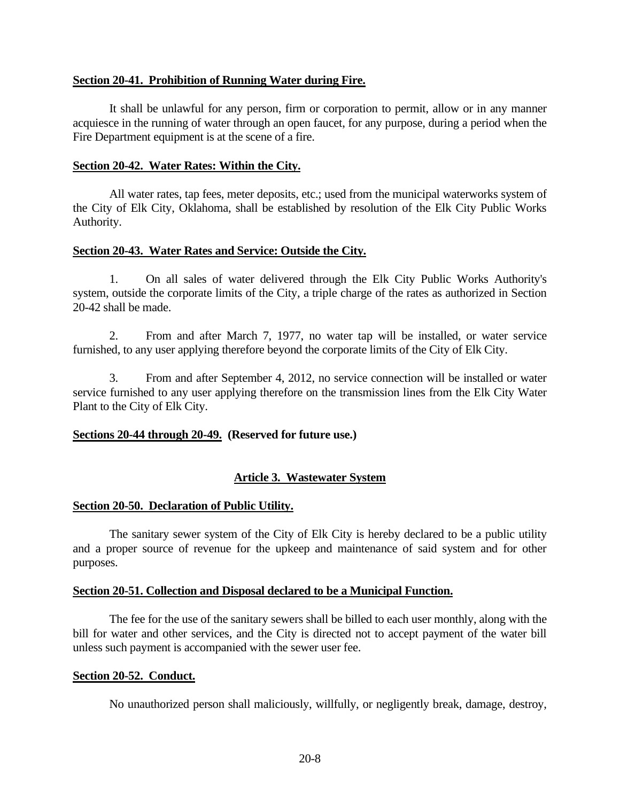### **Section 20-41. Prohibition of Running Water during Fire.**

It shall be unlawful for any person, firm or corporation to permit, allow or in any manner acquiesce in the running of water through an open faucet, for any purpose, during a period when the Fire Department equipment is at the scene of a fire.

#### **Section 20-42. Water Rates: Within the City.**

All water rates, tap fees, meter deposits, etc.; used from the municipal waterworks system of the City of Elk City, Oklahoma, shall be established by resolution of the Elk City Public Works Authority.

### **Section 20-43. Water Rates and Service: Outside the City.**

1. On all sales of water delivered through the Elk City Public Works Authority's system, outside the corporate limits of the City, a triple charge of the rates as authorized in Section 20-42 shall be made.

2. From and after March 7, 1977, no water tap will be installed, or water service furnished, to any user applying therefore beyond the corporate limits of the City of Elk City.

3. From and after September 4, 2012, no service connection will be installed or water service furnished to any user applying therefore on the transmission lines from the Elk City Water Plant to the City of Elk City.

### **Sections 20-44 through 20-49. (Reserved for future use.)**

### **Article 3. Wastewater System**

### **Section 20-50. Declaration of Public Utility.**

The sanitary sewer system of the City of Elk City is hereby declared to be a public utility and a proper source of revenue for the upkeep and maintenance of said system and for other purposes.

### **Section 20-51. Collection and Disposal declared to be a Municipal Function.**

The fee for the use of the sanitary sewers shall be billed to each user monthly, along with the bill for water and other services, and the City is directed not to accept payment of the water bill unless such payment is accompanied with the sewer user fee.

#### **Section 20-52. Conduct.**

No unauthorized person shall maliciously, willfully, or negligently break, damage, destroy,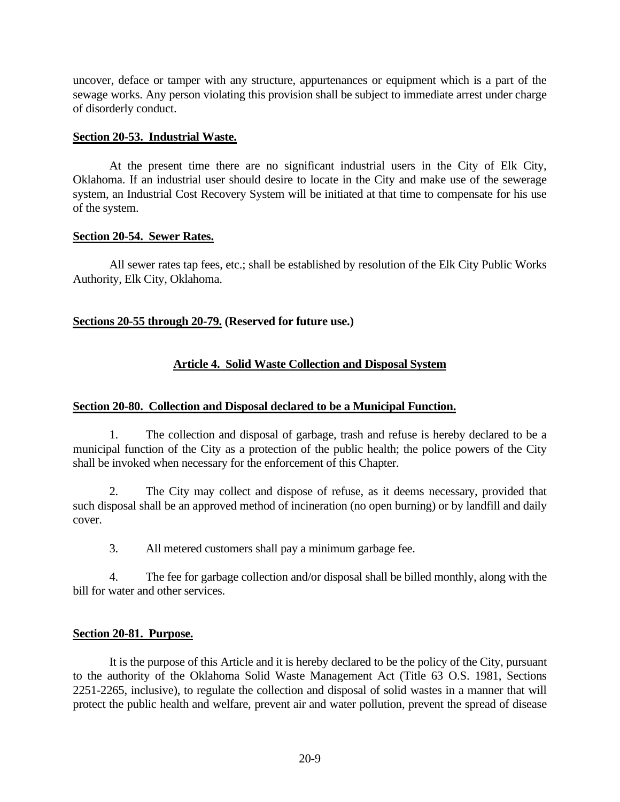uncover, deface or tamper with any structure, appurtenances or equipment which is a part of the sewage works. Any person violating this provision shall be subject to immediate arrest under charge of disorderly conduct.

### **Section 20-53. Industrial Waste.**

At the present time there are no significant industrial users in the City of Elk City, Oklahoma. If an industrial user should desire to locate in the City and make use of the sewerage system, an Industrial Cost Recovery System will be initiated at that time to compensate for his use of the system.

#### **Section 20-54. Sewer Rates.**

All sewer rates tap fees, etc.; shall be established by resolution of the Elk City Public Works Authority, Elk City, Oklahoma.

### **Sections 20-55 through 20-79. (Reserved for future use.)**

# **Article 4. Solid Waste Collection and Disposal System**

### **Section 20-80. Collection and Disposal declared to be a Municipal Function.**

1. The collection and disposal of garbage, trash and refuse is hereby declared to be a municipal function of the City as a protection of the public health; the police powers of the City shall be invoked when necessary for the enforcement of this Chapter.

2. The City may collect and dispose of refuse, as it deems necessary, provided that such disposal shall be an approved method of incineration (no open burning) or by landfill and daily cover.

3. All metered customers shall pay a minimum garbage fee.

4. The fee for garbage collection and/or disposal shall be billed monthly, along with the bill for water and other services.

### **Section 20-81. Purpose.**

It is the purpose of this Article and it is hereby declared to be the policy of the City, pursuant to the authority of the Oklahoma Solid Waste Management Act (Title 63 O.S. 1981, Sections 2251-2265, inclusive), to regulate the collection and disposal of solid wastes in a manner that will protect the public health and welfare, prevent air and water pollution, prevent the spread of disease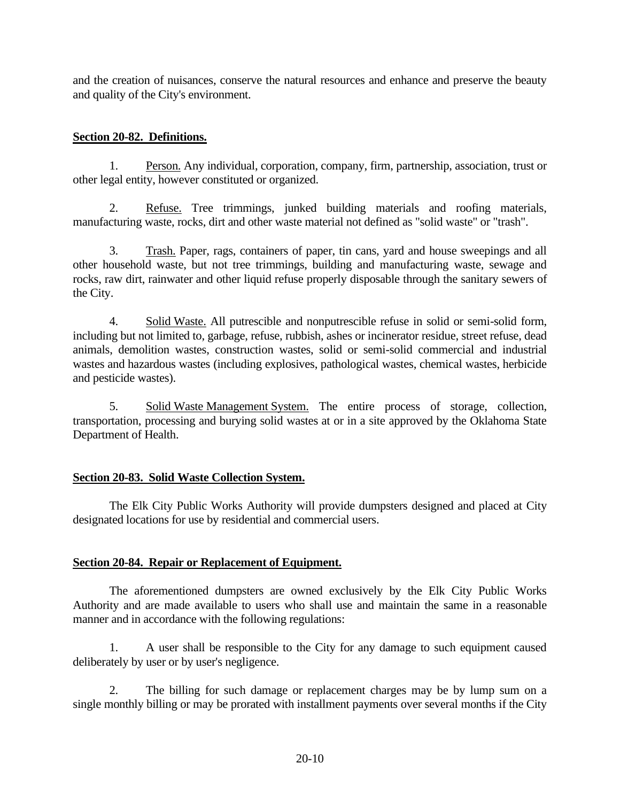and the creation of nuisances, conserve the natural resources and enhance and preserve the beauty and quality of the City's environment.

### **Section 20-82. Definitions.**

1. Person. Any individual, corporation, company, firm, partnership, association, trust or other legal entity, however constituted or organized.

2. Refuse. Tree trimmings, junked building materials and roofing materials, manufacturing waste, rocks, dirt and other waste material not defined as "solid waste" or "trash".

3. Trash. Paper, rags, containers of paper, tin cans, yard and house sweepings and all other household waste, but not tree trimmings, building and manufacturing waste, sewage and rocks, raw dirt, rainwater and other liquid refuse properly disposable through the sanitary sewers of the City.

4. Solid Waste. All putrescible and nonputrescible refuse in solid or semi-solid form, including but not limited to, garbage, refuse, rubbish, ashes or incinerator residue, street refuse, dead animals, demolition wastes, construction wastes, solid or semi-solid commercial and industrial wastes and hazardous wastes (including explosives, pathological wastes, chemical wastes, herbicide and pesticide wastes).

5. Solid Waste Management System. The entire process of storage, collection, transportation, processing and burying solid wastes at or in a site approved by the Oklahoma State Department of Health.

# **Section 20-83. Solid Waste Collection System.**

The Elk City Public Works Authority will provide dumpsters designed and placed at City designated locations for use by residential and commercial users.

# **Section 20-84. Repair or Replacement of Equipment.**

The aforementioned dumpsters are owned exclusively by the Elk City Public Works Authority and are made available to users who shall use and maintain the same in a reasonable manner and in accordance with the following regulations:

1. A user shall be responsible to the City for any damage to such equipment caused deliberately by user or by user's negligence.

2. The billing for such damage or replacement charges may be by lump sum on a single monthly billing or may be prorated with installment payments over several months if the City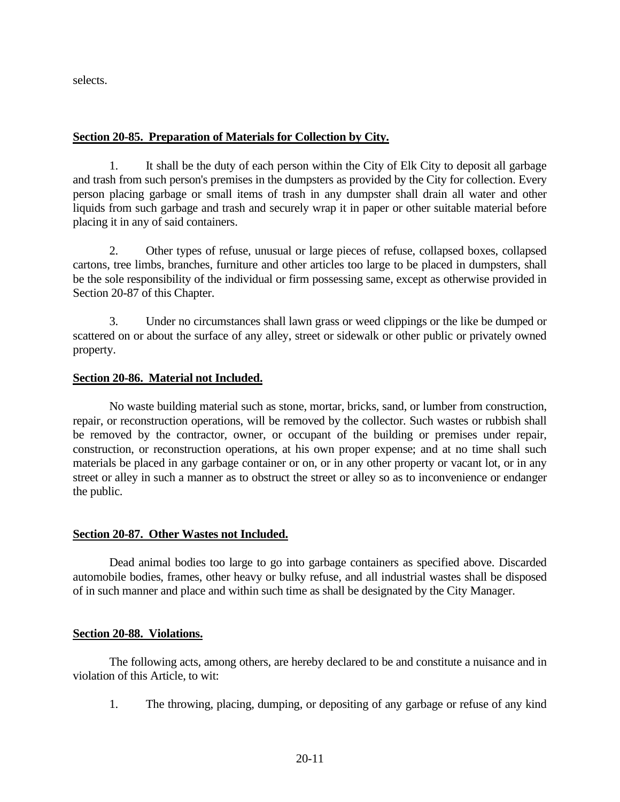selects.

### **Section 20-85. Preparation of Materials for Collection by City.**

1. It shall be the duty of each person within the City of Elk City to deposit all garbage and trash from such person's premises in the dumpsters as provided by the City for collection. Every person placing garbage or small items of trash in any dumpster shall drain all water and other liquids from such garbage and trash and securely wrap it in paper or other suitable material before placing it in any of said containers.

2. Other types of refuse, unusual or large pieces of refuse, collapsed boxes, collapsed cartons, tree limbs, branches, furniture and other articles too large to be placed in dumpsters, shall be the sole responsibility of the individual or firm possessing same, except as otherwise provided in Section 20-87 of this Chapter.

3. Under no circumstances shall lawn grass or weed clippings or the like be dumped or scattered on or about the surface of any alley, street or sidewalk or other public or privately owned property.

### **Section 20-86. Material not Included.**

No waste building material such as stone, mortar, bricks, sand, or lumber from construction, repair, or reconstruction operations, will be removed by the collector. Such wastes or rubbish shall be removed by the contractor, owner, or occupant of the building or premises under repair, construction, or reconstruction operations, at his own proper expense; and at no time shall such materials be placed in any garbage container or on, or in any other property or vacant lot, or in any street or alley in such a manner as to obstruct the street or alley so as to inconvenience or endanger the public.

### **Section 20-87. Other Wastes not Included.**

Dead animal bodies too large to go into garbage containers as specified above. Discarded automobile bodies, frames, other heavy or bulky refuse, and all industrial wastes shall be disposed of in such manner and place and within such time as shall be designated by the City Manager.

### **Section 20-88. Violations.**

The following acts, among others, are hereby declared to be and constitute a nuisance and in violation of this Article, to wit:

1. The throwing, placing, dumping, or depositing of any garbage or refuse of any kind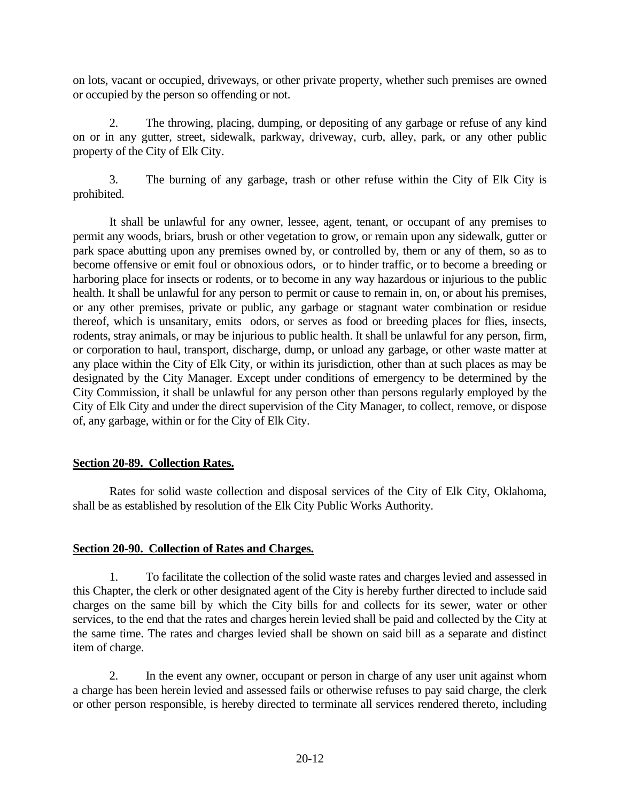on lots, vacant or occupied, driveways, or other private property, whether such premises are owned or occupied by the person so offending or not.

2. The throwing, placing, dumping, or depositing of any garbage or refuse of any kind on or in any gutter, street, sidewalk, parkway, driveway, curb, alley, park, or any other public property of the City of Elk City.

3. The burning of any garbage, trash or other refuse within the City of Elk City is prohibited.

It shall be unlawful for any owner, lessee, agent, tenant, or occupant of any premises to permit any woods, briars, brush or other vegetation to grow, or remain upon any sidewalk, gutter or park space abutting upon any premises owned by, or controlled by, them or any of them, so as to become offensive or emit foul or obnoxious odors, or to hinder traffic, or to become a breeding or harboring place for insects or rodents, or to become in any way hazardous or injurious to the public health. It shall be unlawful for any person to permit or cause to remain in, on, or about his premises, or any other premises, private or public, any garbage or stagnant water combination or residue thereof, which is unsanitary, emits odors, or serves as food or breeding places for flies, insects, rodents, stray animals, or may be injurious to public health. It shall be unlawful for any person, firm, or corporation to haul, transport, discharge, dump, or unload any garbage, or other waste matter at any place within the City of Elk City, or within its jurisdiction, other than at such places as may be designated by the City Manager. Except under conditions of emergency to be determined by the City Commission, it shall be unlawful for any person other than persons regularly employed by the City of Elk City and under the direct supervision of the City Manager, to collect, remove, or dispose of, any garbage, within or for the City of Elk City.

# **Section 20-89. Collection Rates.**

Rates for solid waste collection and disposal services of the City of Elk City, Oklahoma, shall be as established by resolution of the Elk City Public Works Authority.

# **Section 20-90. Collection of Rates and Charges.**

1. To facilitate the collection of the solid waste rates and charges levied and assessed in this Chapter, the clerk or other designated agent of the City is hereby further directed to include said charges on the same bill by which the City bills for and collects for its sewer, water or other services, to the end that the rates and charges herein levied shall be paid and collected by the City at the same time. The rates and charges levied shall be shown on said bill as a separate and distinct item of charge.

2. In the event any owner, occupant or person in charge of any user unit against whom a charge has been herein levied and assessed fails or otherwise refuses to pay said charge, the clerk or other person responsible, is hereby directed to terminate all services rendered thereto, including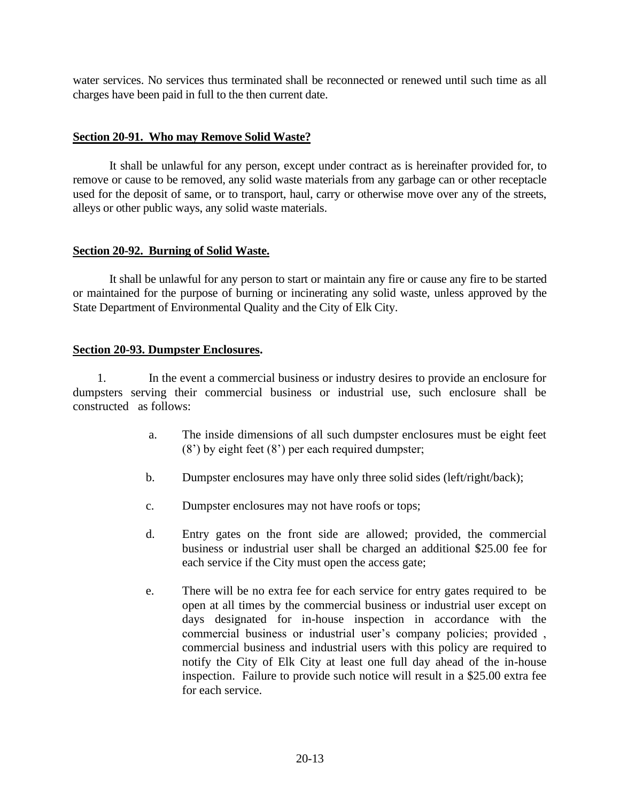water services. No services thus terminated shall be reconnected or renewed until such time as all charges have been paid in full to the then current date.

### **Section 20-91. Who may Remove Solid Waste?**

It shall be unlawful for any person, except under contract as is hereinafter provided for, to remove or cause to be removed, any solid waste materials from any garbage can or other receptacle used for the deposit of same, or to transport, haul, carry or otherwise move over any of the streets, alleys or other public ways, any solid waste materials.

### **Section 20-92. Burning of Solid Waste.**

It shall be unlawful for any person to start or maintain any fire or cause any fire to be started or maintained for the purpose of burning or incinerating any solid waste, unless approved by the State Department of Environmental Quality and the City of Elk City.

### **Section 20-93. Dumpster Enclosures.**

 1. In the event a commercial business or industry desires to provide an enclosure for dumpsters serving their commercial business or industrial use, such enclosure shall be constructed as follows:

- a. The inside dimensions of all such dumpster enclosures must be eight feet (8') by eight feet (8') per each required dumpster;
- b. Dumpster enclosures may have only three solid sides (left/right/back);
- c. Dumpster enclosures may not have roofs or tops;
- d. Entry gates on the front side are allowed; provided, the commercial business or industrial user shall be charged an additional \$25.00 fee for each service if the City must open the access gate;
- e. There will be no extra fee for each service for entry gates required to be open at all times by the commercial business or industrial user except on days designated for in-house inspection in accordance with the commercial business or industrial user's company policies; provided , commercial business and industrial users with this policy are required to notify the City of Elk City at least one full day ahead of the in-house inspection. Failure to provide such notice will result in a \$25.00 extra fee for each service.